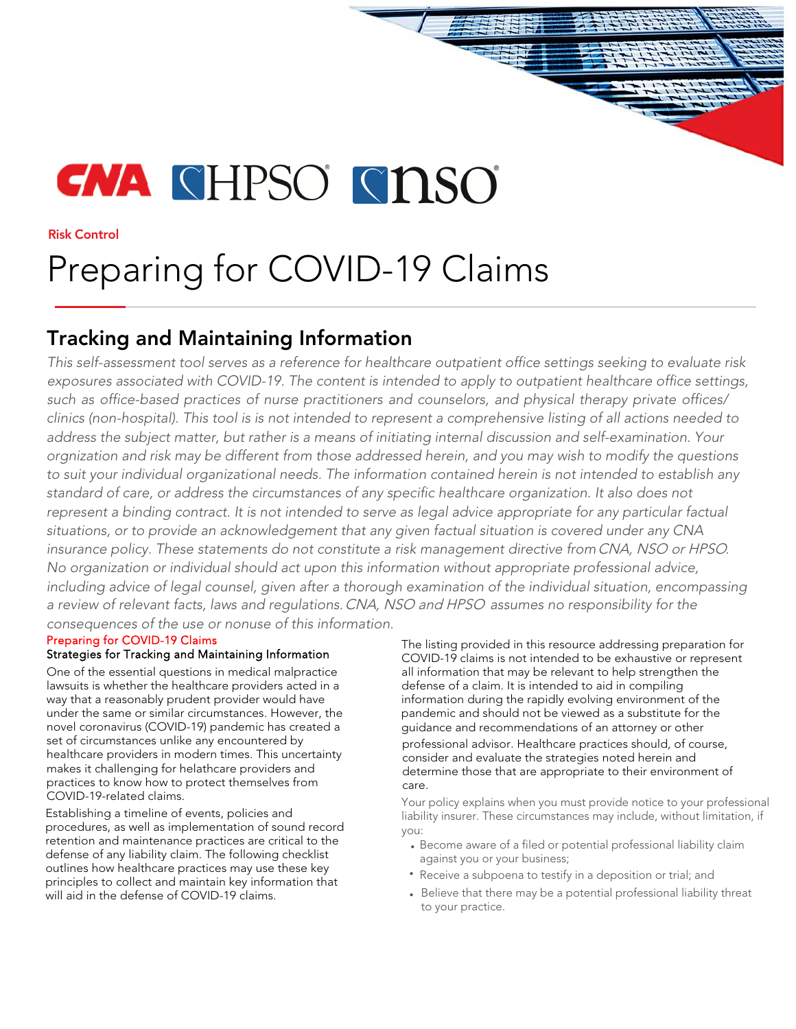# **CNA** CHPSO CINSO

Risk Control

# Preparing for COVID-19 Claims

## Tracking and Maintaining Information

This self-assessment tool serves as a reference for healthcare outpatient office settings seeking to evaluate risk exposures associated with COVID-19. The content is intended to apply to outpatient healthcare office settings, such as office-based practices of nurse practitioners and counselors, and physical therapy private offices/ clinics (non-hospital). This tool is is not intended to represent a comprehensive listing of all actions needed to address the subject matter, but rather is a means of initiating internal discussion and self-examination. Your orgnization and risk may be different from those addressed herein, and you may wish to modify the questions to suit your individual organizational needs. The information contained herein is not intended to establish any standard of care, or address the circumstances of any specific healthcare organization. It also does not represent a binding contract. It is not intended to serve as legal advice appropriate for any particular factual situations, or to provide an acknowledgement that any given factual situation is covered under any CNA insurance policy. These statements do not constitute a risk management directive fromCNA, NSO or HPSO. No organization or individual should act upon this information without appropriate professional advice, including advice of legal counsel, given after a thorough examination of the individual situation, encompassing a review of relevant facts, laws and regulations.CNA, NSO and HPSO assumes no responsibility for the consequences of the use or nonuse of this information.

### Preparing for COVID-19 Claims

#### Strategies for Tracking and Maintaining Information

One of the essential questions in medical malpractice lawsuits is whether the healthcare providers acted in a way that a reasonably prudent provider would have under the same or similar circumstances. However, the novel coronavirus (COVID-19) pandemic has created a set of circumstances unlike any encountered by healthcare providers in modern times. This uncertainty makes it challenging for helathcare providers and practices to know how to protect themselves from COVID-19-related claims.

Establishing a timeline of events, policies and procedures, as well as implementation of sound record retention and maintenance practices are critical to the defense of any liability claim. The following checklist outlines how healthcare practices may use these key principles to collect and maintain key information that will aid in the defense of COVID-19 claims.

The listing provided in this resource addressing preparation for COVID-19 claims is not intended to be exhaustive or represent all information that may be relevant to help strengthen the defense of a claim. It is intended to aid in compiling information during the rapidly evolving environment of the pandemic and should not be viewed as a substitute for the guidance and recommendations of an attorney or other

professional advisor. Healthcare practices should, of course, consider and evaluate the strategies noted herein and determine those that are appropriate to their environment of care.

Your policy explains when you must provide notice to your professional liability insurer. These circumstances may include, without limitation, if you:

- Become aware of a filed or potential professional liability claim against you or your business;
- Receive a subpoena to testify in a deposition or trial; and
- Believe that there may be a potential professional liability threat to your practice.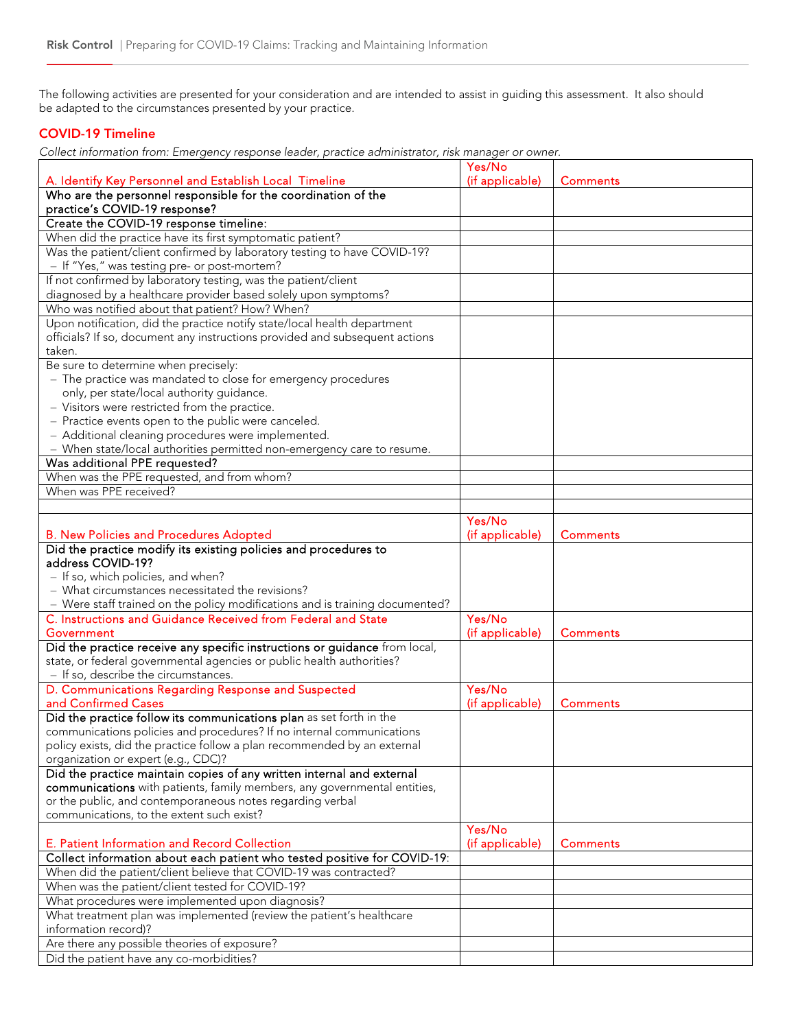The following activities are presented for your consideration and are intended to assist in guiding this assessment. It also should be adapted to the circumstances presented by your practice.

#### COVID-19 Timeline

Collect information from: Emergency response leader, practice administrator, risk manager or owner.

|                                                                                                                                              | Yes/No          |                 |
|----------------------------------------------------------------------------------------------------------------------------------------------|-----------------|-----------------|
| A. Identify Key Personnel and Establish Local Timeline                                                                                       | (if applicable) | <b>Comments</b> |
| Who are the personnel responsible for the coordination of the                                                                                |                 |                 |
| practice's COVID-19 response?                                                                                                                |                 |                 |
| Create the COVID-19 response timeline:                                                                                                       |                 |                 |
| When did the practice have its first symptomatic patient?                                                                                    |                 |                 |
| Was the patient/client confirmed by laboratory testing to have COVID-19?                                                                     |                 |                 |
| - If "Yes," was testing pre- or post-mortem?                                                                                                 |                 |                 |
| If not confirmed by laboratory testing, was the patient/client                                                                               |                 |                 |
| diagnosed by a healthcare provider based solely upon symptoms?                                                                               |                 |                 |
| Who was notified about that patient? How? When?                                                                                              |                 |                 |
| Upon notification, did the practice notify state/local health department                                                                     |                 |                 |
| officials? If so, document any instructions provided and subsequent actions                                                                  |                 |                 |
| taken.                                                                                                                                       |                 |                 |
| Be sure to determine when precisely:                                                                                                         |                 |                 |
| - The practice was mandated to close for emergency procedures                                                                                |                 |                 |
| only, per state/local authority guidance.                                                                                                    |                 |                 |
| - Visitors were restricted from the practice.                                                                                                |                 |                 |
| - Practice events open to the public were canceled.                                                                                          |                 |                 |
| - Additional cleaning procedures were implemented.                                                                                           |                 |                 |
| - When state/local authorities permitted non-emergency care to resume.                                                                       |                 |                 |
| Was additional PPE requested?                                                                                                                |                 |                 |
| When was the PPE requested, and from whom?                                                                                                   |                 |                 |
| When was PPE received?                                                                                                                       |                 |                 |
|                                                                                                                                              |                 |                 |
|                                                                                                                                              | Yes/No          |                 |
| <b>B. New Policies and Procedures Adopted</b>                                                                                                | (if applicable) | <b>Comments</b> |
| Did the practice modify its existing policies and procedures to                                                                              |                 |                 |
| address COVID-19?                                                                                                                            |                 |                 |
| - If so, which policies, and when?                                                                                                           |                 |                 |
| - What circumstances necessitated the revisions?                                                                                             |                 |                 |
| - Were staff trained on the policy modifications and is training documented?                                                                 |                 |                 |
| C. Instructions and Guidance Received from Federal and State                                                                                 | Yes/No          |                 |
| Government                                                                                                                                   | (if applicable) | <b>Comments</b> |
| Did the practice receive any specific instructions or guidance from local,                                                                   |                 |                 |
| state, or federal governmental agencies or public health authorities?                                                                        |                 |                 |
| - If so, describe the circumstances.                                                                                                         |                 |                 |
| D. Communications Regarding Response and Suspected                                                                                           | Yes/No          |                 |
| and Confirmed Cases                                                                                                                          | (if applicable) | <b>Comments</b> |
| Did the practice follow its communications plan as set forth in the<br>communications policies and procedures? If no internal communications |                 |                 |
|                                                                                                                                              |                 |                 |
| policy exists, did the practice follow a plan recommended by an external<br>organization or expert (e.g., CDC)?                              |                 |                 |
| Did the practice maintain copies of any written internal and external                                                                        |                 |                 |
| communications with patients, family members, any governmental entities,                                                                     |                 |                 |
| or the public, and contemporaneous notes regarding verbal                                                                                    |                 |                 |
| communications, to the extent such exist?                                                                                                    |                 |                 |
|                                                                                                                                              | Yes/No          |                 |
| E. Patient Information and Record Collection                                                                                                 | (if applicable) | <b>Comments</b> |
| Collect information about each patient who tested positive for COVID-19:                                                                     |                 |                 |
| When did the patient/client believe that COVID-19 was contracted?                                                                            |                 |                 |
| When was the patient/client tested for COVID-19?                                                                                             |                 |                 |
| What procedures were implemented upon diagnosis?                                                                                             |                 |                 |
| What treatment plan was implemented (review the patient's healthcare                                                                         |                 |                 |
| information record)?                                                                                                                         |                 |                 |
| Are there any possible theories of exposure?                                                                                                 |                 |                 |
| Did the patient have any co-morbidities?                                                                                                     |                 |                 |
|                                                                                                                                              |                 |                 |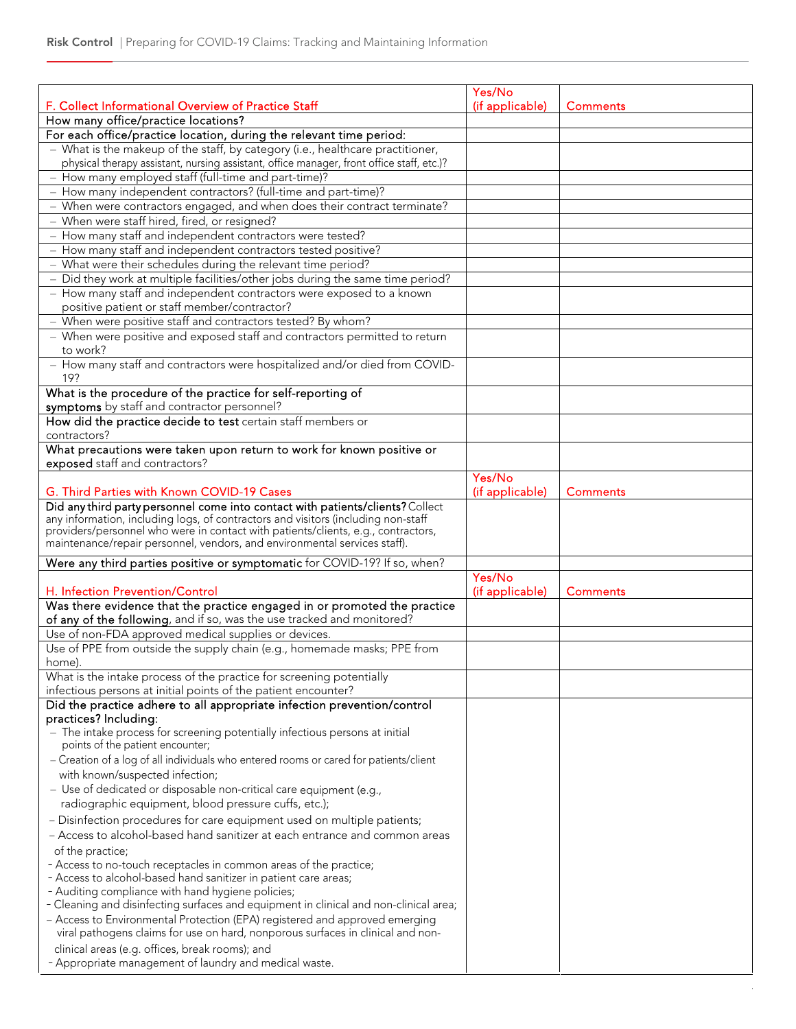|                                                                                                                                                                | Yes/No                    |                 |
|----------------------------------------------------------------------------------------------------------------------------------------------------------------|---------------------------|-----------------|
| F. Collect Informational Overview of Practice Staff                                                                                                            | (if applicable)           | <b>Comments</b> |
| How many office/practice locations?                                                                                                                            |                           |                 |
| For each office/practice location, during the relevant time period:<br>- What is the makeup of the staff, by category (i.e., healthcare practitioner,          |                           |                 |
| physical therapy assistant, nursing assistant, office manager, front office staff, etc.)?                                                                      |                           |                 |
| - How many employed staff (full-time and part-time)?                                                                                                           |                           |                 |
| - How many independent contractors? (full-time and part-time)?                                                                                                 |                           |                 |
| - When were contractors engaged, and when does their contract terminate?                                                                                       |                           |                 |
| - When were staff hired, fired, or resigned?                                                                                                                   |                           |                 |
| - How many staff and independent contractors were tested?                                                                                                      |                           |                 |
| - How many staff and independent contractors tested positive?                                                                                                  |                           |                 |
| - What were their schedules during the relevant time period?                                                                                                   |                           |                 |
| - Did they work at multiple facilities/other jobs during the same time period?                                                                                 |                           |                 |
| - How many staff and independent contractors were exposed to a known                                                                                           |                           |                 |
| positive patient or staff member/contractor?                                                                                                                   |                           |                 |
| - When were positive staff and contractors tested? By whom?                                                                                                    |                           |                 |
| - When were positive and exposed staff and contractors permitted to return                                                                                     |                           |                 |
| to work?                                                                                                                                                       |                           |                 |
| - How many staff and contractors were hospitalized and/or died from COVID-                                                                                     |                           |                 |
| 19?<br>What is the procedure of the practice for self-reporting of                                                                                             |                           |                 |
| symptoms by staff and contractor personnel?                                                                                                                    |                           |                 |
| How did the practice decide to test certain staff members or                                                                                                   |                           |                 |
| contractors?                                                                                                                                                   |                           |                 |
| What precautions were taken upon return to work for known positive or                                                                                          |                           |                 |
| exposed staff and contractors?                                                                                                                                 | Yes/No                    |                 |
| G. Third Parties with Known COVID-19 Cases                                                                                                                     | (if applicable)           | Comments        |
| Did any third party personnel come into contact with patients/clients? Collect                                                                                 |                           |                 |
| any information, including logs, of contractors and visitors (including non-staff                                                                              |                           |                 |
| providers/personnel who were in contact with patients/clients, e.g., contractors,<br>maintenance/repair personnel, vendors, and environmental services staff). |                           |                 |
|                                                                                                                                                                |                           |                 |
| Were any third parties positive or symptomatic for COVID-19? If so, when?                                                                                      |                           |                 |
| H. Infection Prevention/Control                                                                                                                                | Yes/No<br>(if applicable) | <b>Comments</b> |
| Was there evidence that the practice engaged in or promoted the practice                                                                                       |                           |                 |
| of any of the following, and if so, was the use tracked and monitored?                                                                                         |                           |                 |
| Use of non-FDA approved medical supplies or devices.                                                                                                           |                           |                 |
| Use of PPE from outside the supply chain (e.g., homemade masks; PPE from                                                                                       |                           |                 |
| home).                                                                                                                                                         |                           |                 |
| What is the intake process of the practice for screening potentially                                                                                           |                           |                 |
| infectious persons at initial points of the patient encounter?                                                                                                 |                           |                 |
| Did the practice adhere to all appropriate infection prevention/control                                                                                        |                           |                 |
| practices? Including:                                                                                                                                          |                           |                 |
| - The intake process for screening potentially infectious persons at initial                                                                                   |                           |                 |
| points of the patient encounter;                                                                                                                               |                           |                 |
| - Creation of a log of all individuals who entered rooms or cared for patients/client                                                                          |                           |                 |
| with known/suspected infection;                                                                                                                                |                           |                 |
| - Use of dedicated or disposable non-critical care equipment (e.g.,                                                                                            |                           |                 |
| radiographic equipment, blood pressure cuffs, etc.);                                                                                                           |                           |                 |
| - Disinfection procedures for care equipment used on multiple patients;                                                                                        |                           |                 |
| - Access to alcohol-based hand sanitizer at each entrance and common areas                                                                                     |                           |                 |
| of the practice;                                                                                                                                               |                           |                 |
| - Access to no-touch receptacles in common areas of the practice;                                                                                              |                           |                 |
| - Access to alcohol-based hand sanitizer in patient care areas;                                                                                                |                           |                 |
| - Auditing compliance with hand hygiene policies;                                                                                                              |                           |                 |
| - Cleaning and disinfecting surfaces and equipment in clinical and non-clinical area;                                                                          |                           |                 |
| - Access to Environmental Protection (EPA) registered and approved emerging<br>viral pathogens claims for use on hard, nonporous surfaces in clinical and non- |                           |                 |
|                                                                                                                                                                |                           |                 |
| clinical areas (e.g. offices, break rooms); and<br>- Appropriate management of laundry and medical waste.                                                      |                           |                 |
|                                                                                                                                                                |                           |                 |